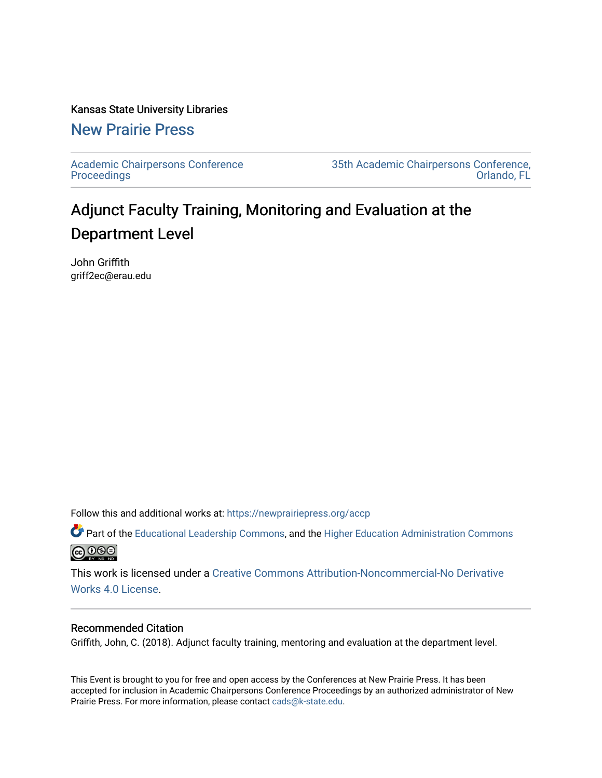#### Kansas State University Libraries

# [New Prairie Press](https://newprairiepress.org/)

[Academic Chairpersons Conference](https://newprairiepress.org/accp)  **Proceedings** 

[35th Academic Chairpersons Conference,](https://newprairiepress.org/accp/2018)  [Orlando, FL](https://newprairiepress.org/accp/2018) 

# Adjunct Faculty Training, Monitoring and Evaluation at the Department Level

John Griffith griff2ec@erau.edu

Follow this and additional works at: [https://newprairiepress.org/accp](https://newprairiepress.org/accp?utm_source=newprairiepress.org%2Faccp%2F2018%2Foperations%2F8&utm_medium=PDF&utm_campaign=PDFCoverPages) 

Part of the [Educational Leadership Commons,](http://network.bepress.com/hgg/discipline/1230?utm_source=newprairiepress.org%2Faccp%2F2018%2Foperations%2F8&utm_medium=PDF&utm_campaign=PDFCoverPages) and the [Higher Education Administration Commons](http://network.bepress.com/hgg/discipline/791?utm_source=newprairiepress.org%2Faccp%2F2018%2Foperations%2F8&utm_medium=PDF&utm_campaign=PDFCoverPages) **@** 000

This work is licensed under a [Creative Commons Attribution-Noncommercial-No Derivative](https://creativecommons.org/licenses/by-nc-nd/4.0/)  [Works 4.0 License](https://creativecommons.org/licenses/by-nc-nd/4.0/).

#### Recommended Citation

Griffith, John, C. (2018). Adjunct faculty training, mentoring and evaluation at the department level.

This Event is brought to you for free and open access by the Conferences at New Prairie Press. It has been accepted for inclusion in Academic Chairpersons Conference Proceedings by an authorized administrator of New Prairie Press. For more information, please contact [cads@k-state.edu.](mailto:cads@k-state.edu)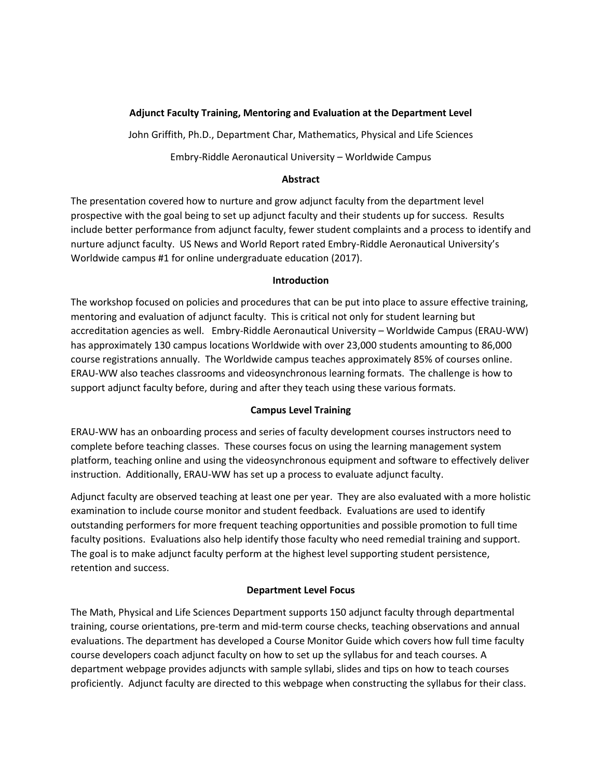### **Adjunct Faculty Training, Mentoring and Evaluation at the Department Level**

John Griffith, Ph.D., Department Char, Mathematics, Physical and Life Sciences

Embry-Riddle Aeronautical University – Worldwide Campus

#### **Abstract**

The presentation covered how to nurture and grow adjunct faculty from the department level prospective with the goal being to set up adjunct faculty and their students up for success. Results include better performance from adjunct faculty, fewer student complaints and a process to identify and nurture adjunct faculty. US News and World Report rated Embry-Riddle Aeronautical University's Worldwide campus #1 for online undergraduate education (2017).

#### **Introduction**

The workshop focused on policies and procedures that can be put into place to assure effective training, mentoring and evaluation of adjunct faculty. This is critical not only for student learning but accreditation agencies as well. Embry-Riddle Aeronautical University – Worldwide Campus (ERAU-WW) has approximately 130 campus locations Worldwide with over 23,000 students amounting to 86,000 course registrations annually. The Worldwide campus teaches approximately 85% of courses online. ERAU-WW also teaches classrooms and videosynchronous learning formats. The challenge is how to support adjunct faculty before, during and after they teach using these various formats.

#### **Campus Level Training**

ERAU-WW has an onboarding process and series of faculty development courses instructors need to complete before teaching classes. These courses focus on using the learning management system platform, teaching online and using the videosynchronous equipment and software to effectively deliver instruction. Additionally, ERAU-WW has set up a process to evaluate adjunct faculty.

Adjunct faculty are observed teaching at least one per year. They are also evaluated with a more holistic examination to include course monitor and student feedback. Evaluations are used to identify outstanding performers for more frequent teaching opportunities and possible promotion to full time faculty positions. Evaluations also help identify those faculty who need remedial training and support. The goal is to make adjunct faculty perform at the highest level supporting student persistence, retention and success.

#### **Department Level Focus**

The Math, Physical and Life Sciences Department supports 150 adjunct faculty through departmental training, course orientations, pre-term and mid-term course checks, teaching observations and annual evaluations. The department has developed a Course Monitor Guide which covers how full time faculty course developers coach adjunct faculty on how to set up the syllabus for and teach courses. A department webpage provides adjuncts with sample syllabi, slides and tips on how to teach courses proficiently. Adjunct faculty are directed to this webpage when constructing the syllabus for their class.